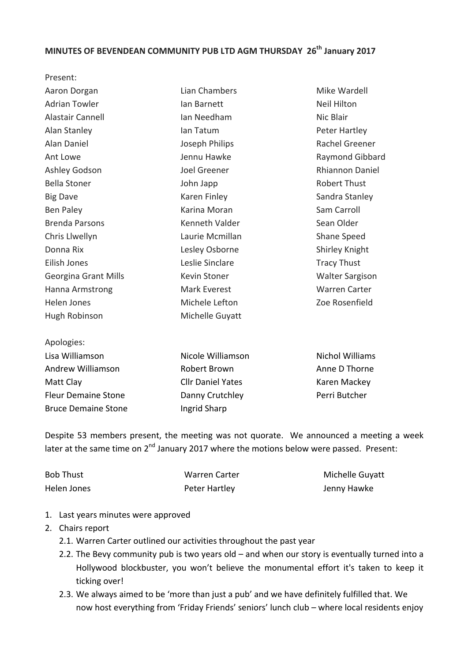## **MINUTES OF BEVENDEAN COMMUNITY PUB LTD AGM THURSDAY 26<sup>th</sup> January 2017**

| FICSCIIL.                   |                   |                        |
|-----------------------------|-------------------|------------------------|
| Aaron Dorgan                | Lian Chambers     | Mike Wardell           |
| <b>Adrian Towler</b>        | lan Barnett       | <b>Neil Hilton</b>     |
| <b>Alastair Cannell</b>     | Ian Needham       | Nic Blair              |
| Alan Stanley                | lan Tatum         | Peter Hartley          |
| Alan Daniel                 | Joseph Philips    | Rachel Greener         |
| Ant Lowe                    | Jennu Hawke       | Raymond Gibbard        |
| Ashley Godson               | Joel Greener      | <b>Rhiannon Daniel</b> |
| <b>Bella Stoner</b>         | John Japp         | <b>Robert Thust</b>    |
| <b>Big Dave</b>             | Karen Finley      | Sandra Stanley         |
| Ben Paley                   | Karina Moran      | Sam Carroll            |
| <b>Brenda Parsons</b>       | Kenneth Valder    | Sean Older             |
| Chris Llwellyn              | Laurie Mcmillan   | Shane Speed            |
| Donna Rix                   | Lesley Osborne    | Shirley Knight         |
| Eilish Jones                | Leslie Sinclare   | <b>Tracy Thust</b>     |
| <b>Georgina Grant Mills</b> | Kevin Stoner      | <b>Walter Sargison</b> |
| <b>Hanna Armstrong</b>      | Mark Everest      | <b>Warren Carter</b>   |
| Helen Jones                 | Michele Lefton    | Zoe Rosenfield         |
| Hugh Robinson               | Michelle Guyatt   |                        |
| Apologies:                  |                   |                        |
| Lisa Williamson             | Nicole Williamson | <b>Nichol Williams</b> |
| Andrew Williamson           | Robert Brown      | Anne D Thorne          |
|                             |                   |                        |

Matt Clay Fleur Demaine Stone Bruce Demaine Stone

Present: 

Cllr Daniel Yates Danny Crutchley Ingrid Sharp

Karen Mackey Perri Butcher

Despite 53 members present, the meeting was not quorate. We announced a meeting a week later at the same time on 2<sup>nd</sup> January 2017 where the motions below were passed. Present:

| <b>Bob Thust</b> | Warren Carter | Michelle Guyatt |
|------------------|---------------|-----------------|
| Helen Jones      | Peter Hartley | Jenny Hawke     |

- 1. Last years minutes were approved
- 2. Chairs report
	- 2.1. Warren Carter outlined our activities throughout the past year
	- 2.2. The Bevy community pub is two years old  $-$  and when our story is eventually turned into a Hollywood blockbuster, you won't believe the monumental effort it's taken to keep it ticking over!
	- 2.3. We always aimed to be 'more than just a pub' and we have definitely fulfilled that. We now host everything from 'Friday Friends' seniors' lunch club – where local residents enjoy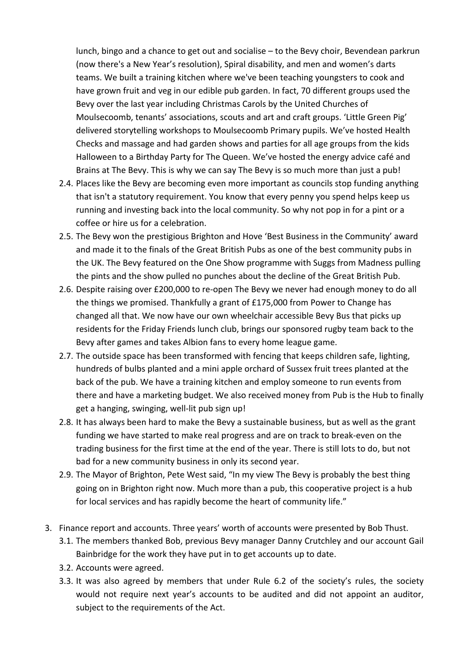lunch, bingo and a chance to get out and socialise – to the Bevy choir, Bevendean parkrun (now there's a New Year's resolution), Spiral disability, and men and women's darts teams. We built a training kitchen where we've been teaching youngsters to cook and have grown fruit and veg in our edible pub garden. In fact, 70 different groups used the Bevy over the last year including Christmas Carols by the United Churches of Moulsecoomb, tenants' associations, scouts and art and craft groups. 'Little Green Pig' delivered storytelling workshops to Moulsecoomb Primary pupils. We've hosted Health Checks and massage and had garden shows and parties for all age groups from the kids Halloween to a Birthday Party for The Queen. We've hosted the energy advice café and Brains at The Bevy. This is why we can say The Bevy is so much more than just a pub!

- 2.4. Places like the Bevy are becoming even more important as councils stop funding anything that isn't a statutory requirement. You know that every penny you spend helps keep us running and investing back into the local community. So why not pop in for a pint or a coffee or hire us for a celebration.
- 2.5. The Bevy won the prestigious Brighton and Hove 'Best Business in the Community' award and made it to the finals of the Great British Pubs as one of the best community pubs in the UK. The Bevy featured on the One Show programme with Suggs from Madness pulling the pints and the show pulled no punches about the decline of the Great British Pub.
- 2.6. Despite raising over £200,000 to re-open The Bevy we never had enough money to do all the things we promised. Thankfully a grant of £175,000 from Power to Change has changed all that. We now have our own wheelchair accessible Bevy Bus that picks up residents for the Friday Friends lunch club, brings our sponsored rugby team back to the Bevy after games and takes Albion fans to every home league game.
- 2.7. The outside space has been transformed with fencing that keeps children safe, lighting, hundreds of bulbs planted and a mini apple orchard of Sussex fruit trees planted at the back of the pub. We have a training kitchen and employ someone to run events from there and have a marketing budget. We also received money from Pub is the Hub to finally get a hanging, swinging, well-lit pub sign up!
- 2.8. It has always been hard to make the Bevy a sustainable business, but as well as the grant funding we have started to make real progress and are on track to break-even on the trading business for the first time at the end of the year. There is still lots to do, but not bad for a new community business in only its second year.
- 2.9. The Mayor of Brighton, Pete West said, "In my view The Bevy is probably the best thing going on in Brighton right now. Much more than a pub, this cooperative project is a hub for local services and has rapidly become the heart of community life."
- 3. Finance report and accounts. Three years' worth of accounts were presented by Bob Thust.
	- 3.1. The members thanked Bob, previous Bevy manager Danny Crutchley and our account Gail Bainbridge for the work they have put in to get accounts up to date.
	- 3.2. Accounts were agreed.
	- 3.3. It was also agreed by members that under Rule  $6.2$  of the society's rules, the society would not require next year's accounts to be audited and did not appoint an auditor, subject to the requirements of the Act.